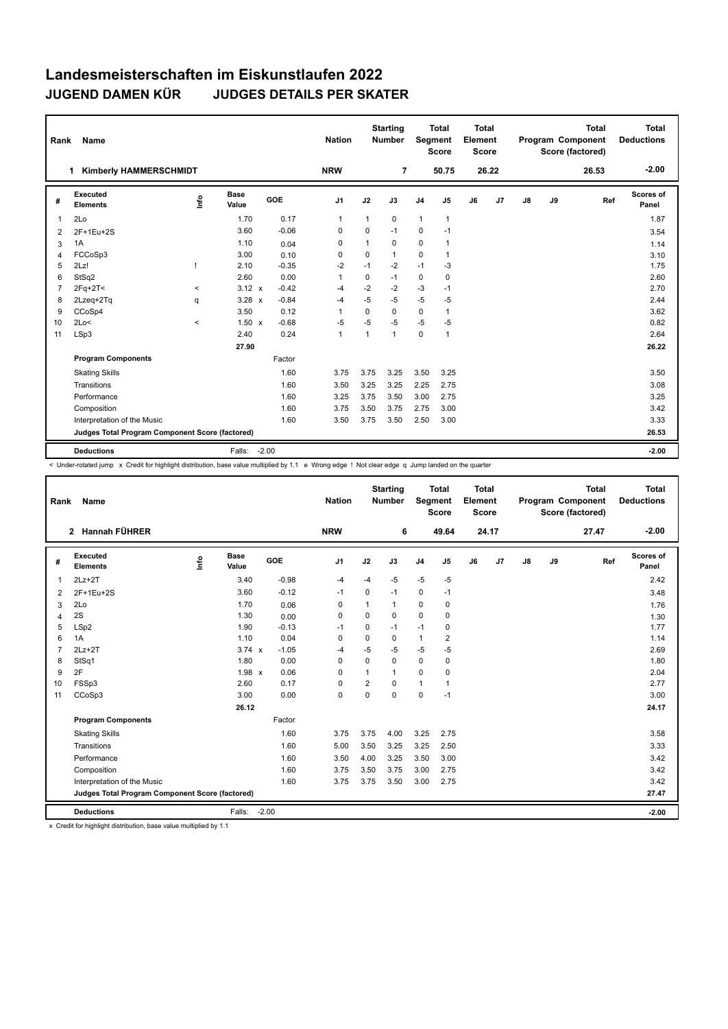| Rank           | Name                                            |                                  |                      |         | <b>Nation</b>  |              | <b>Starting</b><br><b>Number</b> | Segment        | <b>Total</b><br><b>Score</b> | <b>Total</b><br>Element<br><b>Score</b> |       |    |    | <b>Total</b><br>Program Component<br>Score (factored) | Total<br><b>Deductions</b> |
|----------------|-------------------------------------------------|----------------------------------|----------------------|---------|----------------|--------------|----------------------------------|----------------|------------------------------|-----------------------------------------|-------|----|----|-------------------------------------------------------|----------------------------|
|                | <b>Kimberly HAMMERSCHMIDT</b><br>1              |                                  |                      |         | <b>NRW</b>     |              | $\overline{7}$                   |                | 50.75                        |                                         | 26.22 |    |    | 26.53                                                 | $-2.00$                    |
| #              | Executed<br><b>Elements</b>                     | $\mathop{\mathsf{Irr}}\nolimits$ | <b>Base</b><br>Value | GOE     | J1             | J2           | J3                               | J <sub>4</sub> | J <sub>5</sub>               | J6                                      | J7    | J8 | J9 | Ref                                                   | Scores of<br>Panel         |
| $\overline{1}$ | 2Lo                                             |                                  | 1.70                 | 0.17    | $\mathbf{1}$   | 1            | 0                                | $\mathbf{1}$   | $\mathbf{1}$                 |                                         |       |    |    |                                                       | 1.87                       |
| 2              | 2F+1Eu+2S                                       |                                  | 3.60                 | $-0.06$ | 0              | $\Omega$     | $-1$                             | 0              | $-1$                         |                                         |       |    |    |                                                       | 3.54                       |
| 3              | 1A                                              |                                  | 1.10                 | 0.04    | 0              | $\mathbf{1}$ | 0                                | 0              | $\mathbf{1}$                 |                                         |       |    |    |                                                       | 1.14                       |
| 4              | FCCoSp3                                         |                                  | 3.00                 | 0.10    | 0              | 0            | 1                                | $\Omega$       | $\mathbf{1}$                 |                                         |       |    |    |                                                       | 3.10                       |
| 5              | 2Lz!                                            |                                  | 2.10                 | $-0.35$ | $-2$           | $-1$         | $-2$                             | $-1$           | $-3$                         |                                         |       |    |    |                                                       | 1.75                       |
| 6              | StSq2                                           |                                  | 2.60                 | 0.00    | $\overline{1}$ | 0            | $-1$                             | 0              | 0                            |                                         |       |    |    |                                                       | 2.60                       |
| $\overline{7}$ | $2Fq+2T<$                                       | $\,<$                            | $3.12 \times$        | $-0.42$ | -4             | $-2$         | $-2$                             | $-3$           | $-1$                         |                                         |       |    |    |                                                       | 2.70                       |
| 8              | 2Lzeg+2Tg                                       | q                                | $3.28 \times$        | $-0.84$ | $-4$           | $-5$         | $-5$                             | $-5$           | -5                           |                                         |       |    |    |                                                       | 2.44                       |
| 9              | CCoSp4                                          |                                  | 3.50                 | 0.12    | $\overline{1}$ | $\Omega$     | $\Omega$                         | $\mathbf 0$    | $\mathbf{1}$                 |                                         |       |    |    |                                                       | 3.62                       |
| 10             | 2Lo<                                            | $\,<$                            | $1.50 \times$        | $-0.68$ | $-5$           | $-5$         | $-5$                             | $-5$           | $-5$                         |                                         |       |    |    |                                                       | 0.82                       |
| 11             | LSp3                                            |                                  | 2.40                 | 0.24    | $\mathbf{1}$   | $\mathbf{1}$ | $\mathbf{1}$                     | $\mathbf 0$    | $\mathbf{1}$                 |                                         |       |    |    |                                                       | 2.64                       |
|                |                                                 |                                  | 27.90                |         |                |              |                                  |                |                              |                                         |       |    |    |                                                       | 26.22                      |
|                | <b>Program Components</b>                       |                                  |                      | Factor  |                |              |                                  |                |                              |                                         |       |    |    |                                                       |                            |
|                | <b>Skating Skills</b>                           |                                  |                      | 1.60    | 3.75           | 3.75         | 3.25                             | 3.50           | 3.25                         |                                         |       |    |    |                                                       | 3.50                       |
|                | Transitions                                     |                                  |                      | 1.60    | 3.50           | 3.25         | 3.25                             | 2.25           | 2.75                         |                                         |       |    |    |                                                       | 3.08                       |
|                | Performance                                     |                                  |                      | 1.60    | 3.25           | 3.75         | 3.50                             | 3.00           | 2.75                         |                                         |       |    |    |                                                       | 3.25                       |
|                | Composition                                     |                                  |                      | 1.60    | 3.75           | 3.50         | 3.75                             | 2.75           | 3.00                         |                                         |       |    |    |                                                       | 3.42                       |
|                | Interpretation of the Music                     |                                  |                      | 1.60    | 3.50           | 3.75         | 3.50                             | 2.50           | 3.00                         |                                         |       |    |    |                                                       | 3.33                       |
|                | Judges Total Program Component Score (factored) |                                  |                      |         |                |              |                                  |                |                              |                                         |       |    |    |                                                       | 26.53                      |
|                | <b>Deductions</b>                               |                                  | Falls:               | $-2.00$ |                |              |                                  |                |                              |                                         |       |    |    |                                                       | $-2.00$                    |

< Under-rotated jump x Credit for highlight distribution, base value multiplied by 1.1 e Wrong edge ! Not clear edge q Jump landed on the quarter

| Rank           | Name                                            |      |                      |            | <b>Nation</b>  |                | <b>Starting</b><br>Number | Segment        | <b>Total</b><br><b>Score</b> | <b>Total</b><br>Element<br><b>Score</b> |       |    |    | <b>Total</b><br><b>Program Component</b><br>Score (factored) | <b>Total</b><br><b>Deductions</b> |
|----------------|-------------------------------------------------|------|----------------------|------------|----------------|----------------|---------------------------|----------------|------------------------------|-----------------------------------------|-------|----|----|--------------------------------------------------------------|-----------------------------------|
|                | 2 Hannah FÜHRER                                 |      |                      |            | <b>NRW</b>     |                | 6                         |                | 49.64                        |                                         | 24.17 |    |    | 27.47                                                        | $-2.00$                           |
| #              | Executed<br><b>Elements</b>                     | lnfo | <b>Base</b><br>Value | <b>GOE</b> | J <sub>1</sub> | J2             | J3                        | J <sub>4</sub> | J5                           | J6                                      | J7    | J8 | J9 | Ref                                                          | Scores of<br>Panel                |
| 1              | $2Lz+2T$                                        |      | 3.40                 | $-0.98$    | $-4$           | $-4$           | $-5$                      | $-5$           | $-5$                         |                                         |       |    |    |                                                              | 2.42                              |
| 2              | 2F+1Eu+2S                                       |      | 3.60                 | $-0.12$    | $-1$           | 0              | $-1$                      | $\mathbf 0$    | $-1$                         |                                         |       |    |    |                                                              | 3.48                              |
| 3              | 2Lo                                             |      | 1.70                 | 0.06       | 0              | 1              | 1                         | $\mathbf 0$    | 0                            |                                         |       |    |    |                                                              | 1.76                              |
| 4              | 2S                                              |      | 1.30                 | 0.00       | $\Omega$       | $\Omega$       | 0                         | $\Omega$       | 0                            |                                         |       |    |    |                                                              | 1.30                              |
| 5              | LSp2                                            |      | 1.90                 | $-0.13$    | -1             | 0              | $-1$                      | $-1$           | 0                            |                                         |       |    |    |                                                              | 1.77                              |
| 6              | 1A                                              |      | 1.10                 | 0.04       | $\Omega$       | 0              | 0                         | $\mathbf{1}$   | $\overline{2}$               |                                         |       |    |    |                                                              | 1.14                              |
| $\overline{7}$ | $2Lz+2T$                                        |      | $3.74 \times$        | $-1.05$    | -4             | $-5$           | $-5$                      | $-5$           | $-5$                         |                                         |       |    |    |                                                              | 2.69                              |
| 8              | StSq1                                           |      | 1.80                 | 0.00       | $\mathbf 0$    | $\Omega$       | 0                         | $\mathbf 0$    | $\mathbf 0$                  |                                         |       |    |    |                                                              | 1.80                              |
| 9              | 2F                                              |      | $1.98 \times$        | 0.06       | $\mathbf 0$    | $\mathbf{1}$   | 1                         | $\mathbf 0$    | $\mathbf 0$                  |                                         |       |    |    |                                                              | 2.04                              |
| 10             | FSSp3                                           |      | 2.60                 | 0.17       | $\mathbf 0$    | $\overline{2}$ | $\Omega$                  | $\mathbf{1}$   | 1                            |                                         |       |    |    |                                                              | 2.77                              |
| 11             | CCoSp3                                          |      | 3.00                 | 0.00       | 0              | $\mathbf 0$    | 0                         | $\mathbf 0$    | $-1$                         |                                         |       |    |    |                                                              | 3.00                              |
|                |                                                 |      | 26.12                |            |                |                |                           |                |                              |                                         |       |    |    |                                                              | 24.17                             |
|                | <b>Program Components</b>                       |      |                      | Factor     |                |                |                           |                |                              |                                         |       |    |    |                                                              |                                   |
|                | <b>Skating Skills</b>                           |      |                      | 1.60       | 3.75           | 3.75           | 4.00                      | 3.25           | 2.75                         |                                         |       |    |    |                                                              | 3.58                              |
|                | Transitions                                     |      |                      | 1.60       | 5.00           | 3.50           | 3.25                      | 3.25           | 2.50                         |                                         |       |    |    |                                                              | 3.33                              |
|                | Performance                                     |      |                      | 1.60       | 3.50           | 4.00           | 3.25                      | 3.50           | 3.00                         |                                         |       |    |    |                                                              | 3.42                              |
|                | Composition                                     |      |                      | 1.60       | 3.75           | 3.50           | 3.75                      | 3.00           | 2.75                         |                                         |       |    |    |                                                              | 3.42                              |
|                | Interpretation of the Music                     |      |                      | 1.60       | 3.75           | 3.75           | 3.50                      | 3.00           | 2.75                         |                                         |       |    |    |                                                              | 3.42                              |
|                | Judges Total Program Component Score (factored) |      |                      |            |                |                |                           |                |                              |                                         |       |    |    |                                                              | 27.47                             |
|                | <b>Deductions</b>                               |      | Falls:               | $-2.00$    |                |                |                           |                |                              |                                         |       |    |    |                                                              | $-2.00$                           |

x Credit for highlight distribution, base value multiplied by 1.1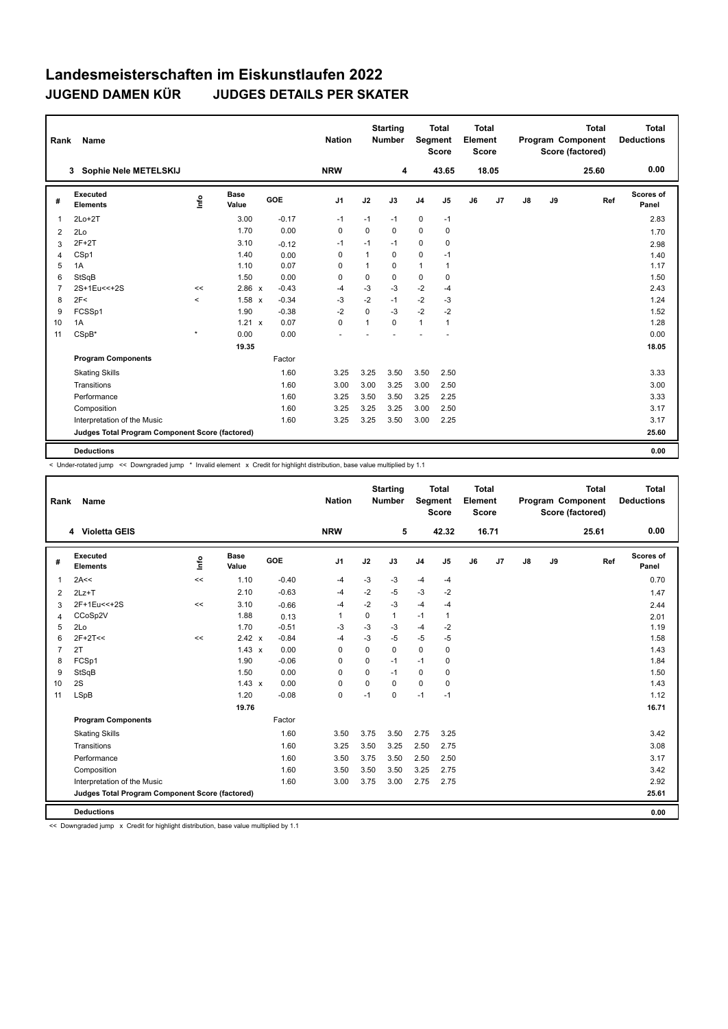| Rank           | Name                                            |         |                      |         | <b>Nation</b>  |                | <b>Starting</b><br><b>Number</b> | Segment        | <b>Total</b><br><b>Score</b> | <b>Total</b><br>Element<br><b>Score</b> |       |    |    | <b>Total</b><br>Program Component<br>Score (factored) | Total<br><b>Deductions</b> |
|----------------|-------------------------------------------------|---------|----------------------|---------|----------------|----------------|----------------------------------|----------------|------------------------------|-----------------------------------------|-------|----|----|-------------------------------------------------------|----------------------------|
|                | Sophie Nele METELSKIJ<br>3                      |         |                      |         | <b>NRW</b>     |                | 4                                |                | 43.65                        |                                         | 18.05 |    |    | 25.60                                                 | 0.00                       |
| #              | Executed<br><b>Elements</b>                     | ١nf٥    | <b>Base</b><br>Value | GOE     | J <sub>1</sub> | J2             | J3                               | J <sub>4</sub> | $\mathsf{J}5$                | J6                                      | J7    | J8 | J9 | Ref                                                   | <b>Scores of</b><br>Panel  |
| $\mathbf{1}$   | $2Lo+2T$                                        |         | 3.00                 | $-0.17$ | $-1$           | $-1$           | $-1$                             | $\pmb{0}$      | $-1$                         |                                         |       |    |    |                                                       | 2.83                       |
| 2              | 2Lo                                             |         | 1.70                 | 0.00    | 0              | $\Omega$       | 0                                | $\mathbf 0$    | 0                            |                                         |       |    |    |                                                       | 1.70                       |
| 3              | $2F+2T$                                         |         | 3.10                 | $-0.12$ | $-1$           | $-1$           | $-1$                             | 0              | 0                            |                                         |       |    |    |                                                       | 2.98                       |
| $\overline{4}$ | CSp1                                            |         | 1.40                 | 0.00    | 0              | $\mathbf{1}$   | $\Omega$                         | $\mathbf 0$    | $-1$                         |                                         |       |    |    |                                                       | 1.40                       |
| 5              | 1A                                              |         | 1.10                 | 0.07    | 0              | $\overline{1}$ | 0                                | $\mathbf{1}$   | $\overline{1}$               |                                         |       |    |    |                                                       | 1.17                       |
| 6              | StSqB                                           |         | 1.50                 | 0.00    | 0              | $\mathbf 0$    | 0                                | $\pmb{0}$      | 0                            |                                         |       |    |    |                                                       | 1.50                       |
| $\overline{7}$ | 2S+1Eu<<+2S                                     | <<      | $2.86 \times$        | $-0.43$ | $-4$           | $-3$           | $-3$                             | $-2$           | $-4$                         |                                         |       |    |    |                                                       | 2.43                       |
| 8              | 2F<                                             | $\prec$ | 1.58 x               | $-0.34$ | -3             | $-2$           | $-1$                             | $-2$           | -3                           |                                         |       |    |    |                                                       | 1.24                       |
| 9              | FCSSp1                                          |         | 1.90                 | $-0.38$ | $-2$           | $\Omega$       | $-3$                             | $-2$           | $-2$                         |                                         |       |    |    |                                                       | 1.52                       |
| 10             | 1A                                              |         | $1.21 \times$        | 0.07    | $\mathbf 0$    | $\mathbf{1}$   | 0                                | $\mathbf{1}$   | 1                            |                                         |       |    |    |                                                       | 1.28                       |
| 11             | $CSpB*$                                         | $\star$ | 0.00                 | 0.00    |                |                |                                  |                |                              |                                         |       |    |    |                                                       | 0.00                       |
|                |                                                 |         | 19.35                |         |                |                |                                  |                |                              |                                         |       |    |    |                                                       | 18.05                      |
|                | <b>Program Components</b>                       |         |                      | Factor  |                |                |                                  |                |                              |                                         |       |    |    |                                                       |                            |
|                | <b>Skating Skills</b>                           |         |                      | 1.60    | 3.25           | 3.25           | 3.50                             | 3.50           | 2.50                         |                                         |       |    |    |                                                       | 3.33                       |
|                | Transitions                                     |         |                      | 1.60    | 3.00           | 3.00           | 3.25                             | 3.00           | 2.50                         |                                         |       |    |    |                                                       | 3.00                       |
|                | Performance                                     |         |                      | 1.60    | 3.25           | 3.50           | 3.50                             | 3.25           | 2.25                         |                                         |       |    |    |                                                       | 3.33                       |
|                | Composition                                     |         |                      | 1.60    | 3.25           | 3.25           | 3.25                             | 3.00           | 2.50                         |                                         |       |    |    |                                                       | 3.17                       |
|                | Interpretation of the Music                     |         |                      | 1.60    | 3.25           | 3.25           | 3.50                             | 3.00           | 2.25                         |                                         |       |    |    |                                                       | 3.17                       |
|                | Judges Total Program Component Score (factored) |         |                      |         |                |                |                                  |                |                              |                                         |       |    |    |                                                       | 25.60                      |
|                | <b>Deductions</b>                               |         |                      |         |                |                |                                  |                |                              |                                         |       |    |    |                                                       | 0.00                       |

< Under-rotated jump << Downgraded jump \* Invalid element x Credit for highlight distribution, base value multiplied by 1.1

| Rank           | Name                                            |         |                      |         | <b>Nation</b>  |             | <b>Starting</b><br><b>Number</b> | Segment        | <b>Total</b><br>Score | Total<br>Element<br><b>Score</b> |       |    |    | <b>Total</b><br>Program Component<br>Score (factored) | <b>Total</b><br><b>Deductions</b> |
|----------------|-------------------------------------------------|---------|----------------------|---------|----------------|-------------|----------------------------------|----------------|-----------------------|----------------------------------|-------|----|----|-------------------------------------------------------|-----------------------------------|
|                | 4 Violetta GEIS                                 |         |                      |         | <b>NRW</b>     |             | 5                                |                | 42.32                 |                                  | 16.71 |    |    | 25.61                                                 | 0.00                              |
| #              | Executed<br><b>Elements</b>                     | lnfo    | <b>Base</b><br>Value | GOE     | J <sub>1</sub> | J2          | J3                               | J <sub>4</sub> | J <sub>5</sub>        | J6                               | J7    | J8 | J9 | Ref                                                   | Scores of<br>Panel                |
| 1              | 2A<<                                            | <<      | 1.10                 | $-0.40$ | $-4$           | $-3$        | $-3$                             | $-4$           | $-4$                  |                                  |       |    |    |                                                       | 0.70                              |
| 2              | $2Lz+T$                                         |         | 2.10                 | $-0.63$ | -4             | $-2$        | -5                               | $-3$           | $-2$                  |                                  |       |    |    |                                                       | 1.47                              |
| 3              | 2F+1Eu<<+2S                                     | $\prec$ | 3.10                 | $-0.66$ | -4             | $-2$        | $-3$                             | $-4$           | $-4$                  |                                  |       |    |    |                                                       | 2.44                              |
| 4              | CCoSp2V                                         |         | 1.88                 | 0.13    | 1              | $\mathbf 0$ | $\mathbf{1}$                     | $-1$           | 1                     |                                  |       |    |    |                                                       | 2.01                              |
| 5              | 2Lo                                             |         | 1.70                 | $-0.51$ | -3             | $-3$        | $-3$                             | $-4$           | $-2$                  |                                  |       |    |    |                                                       | 1.19                              |
| 6              | $2F+2T<<$                                       | <<      | 2.42 x               | $-0.84$ | $-4$           | $-3$        | $-5$                             | $-5$           | $-5$                  |                                  |       |    |    |                                                       | 1.58                              |
| $\overline{7}$ | 2T                                              |         | $1.43 \times$        | 0.00    | $\mathbf 0$    | $\Omega$    | $\mathbf 0$                      | $\mathbf 0$    | $\mathbf 0$           |                                  |       |    |    |                                                       | 1.43                              |
| 8              | FCSp1                                           |         | 1.90                 | $-0.06$ | 0              | $\mathbf 0$ | $-1$                             | $-1$           | 0                     |                                  |       |    |    |                                                       | 1.84                              |
| 9              | StSqB                                           |         | 1.50                 | 0.00    | 0              | $\mathbf 0$ | $-1$                             | 0              | $\mathbf 0$           |                                  |       |    |    |                                                       | 1.50                              |
| 10             | 2S                                              |         | $1.43 \times$        | 0.00    | 0              | $\mathbf 0$ | $\Omega$                         | $\mathbf 0$    | $\mathbf 0$           |                                  |       |    |    |                                                       | 1.43                              |
| 11             | <b>LSpB</b>                                     |         | 1.20                 | $-0.08$ | 0              | $-1$        | $\mathbf 0$                      | $-1$           | $-1$                  |                                  |       |    |    |                                                       | 1.12                              |
|                |                                                 |         | 19.76                |         |                |             |                                  |                |                       |                                  |       |    |    |                                                       | 16.71                             |
|                | <b>Program Components</b>                       |         |                      | Factor  |                |             |                                  |                |                       |                                  |       |    |    |                                                       |                                   |
|                | <b>Skating Skills</b>                           |         |                      | 1.60    | 3.50           | 3.75        | 3.50                             | 2.75           | 3.25                  |                                  |       |    |    |                                                       | 3.42                              |
|                | Transitions                                     |         |                      | 1.60    | 3.25           | 3.50        | 3.25                             | 2.50           | 2.75                  |                                  |       |    |    |                                                       | 3.08                              |
|                | Performance                                     |         |                      | 1.60    | 3.50           | 3.75        | 3.50                             | 2.50           | 2.50                  |                                  |       |    |    |                                                       | 3.17                              |
|                | Composition                                     |         |                      | 1.60    | 3.50           | 3.50        | 3.50                             | 3.25           | 2.75                  |                                  |       |    |    |                                                       | 3.42                              |
|                | Interpretation of the Music                     |         |                      | 1.60    | 3.00           | 3.75        | 3.00                             | 2.75           | 2.75                  |                                  |       |    |    |                                                       | 2.92                              |
|                | Judges Total Program Component Score (factored) |         |                      |         |                |             |                                  |                |                       |                                  |       |    |    |                                                       | 25.61                             |
|                | <b>Deductions</b>                               |         |                      |         |                |             |                                  |                |                       |                                  |       |    |    |                                                       | 0.00                              |

<< Downgraded jump x Credit for highlight distribution, base value multiplied by 1.1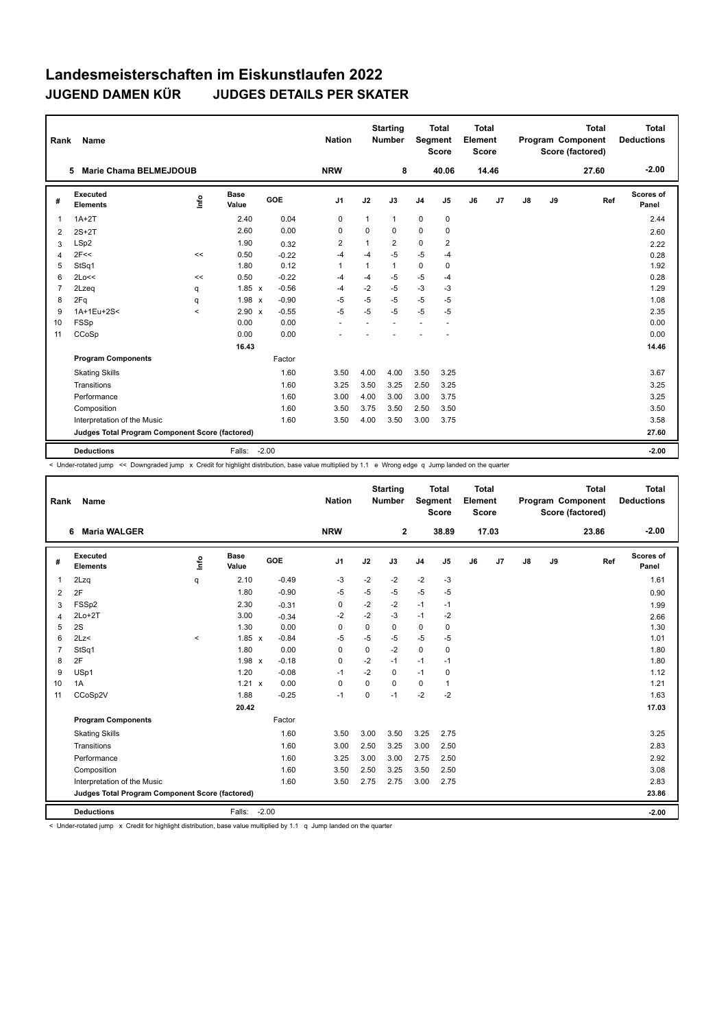| Rank           | Name                                            |         |                      |            | <b>Nation</b>  |              | <b>Starting</b><br><b>Number</b> | Segment        | <b>Total</b><br><b>Score</b> | <b>Total</b><br>Element<br><b>Score</b> |                |    |    | <b>Total</b><br>Program Component<br>Score (factored) | Total<br><b>Deductions</b> |
|----------------|-------------------------------------------------|---------|----------------------|------------|----------------|--------------|----------------------------------|----------------|------------------------------|-----------------------------------------|----------------|----|----|-------------------------------------------------------|----------------------------|
|                | <b>Marie Chama BELMEJDOUB</b><br>5              |         |                      |            | <b>NRW</b>     |              | 8                                |                | 40.06                        |                                         | 14.46          |    |    | 27.60                                                 | $-2.00$                    |
| #              | Executed<br><b>Elements</b>                     | lnfo    | <b>Base</b><br>Value | <b>GOE</b> | J <sub>1</sub> | J2           | J3                               | J <sub>4</sub> | J <sub>5</sub>               | J6                                      | J <sub>7</sub> | J8 | J9 | Ref                                                   | Scores of<br>Panel         |
| $\overline{1}$ | $1A+2T$                                         |         | 2.40                 | 0.04       | $\pmb{0}$      | 1            | 1                                | $\mathbf 0$    | $\mathbf 0$                  |                                         |                |    |    |                                                       | 2.44                       |
| 2              | $2S+2T$                                         |         | 2.60                 | 0.00       | 0              | $\Omega$     | 0                                | $\mathbf 0$    | 0                            |                                         |                |    |    |                                                       | 2.60                       |
| 3              | LSp2                                            |         | 1.90                 | 0.32       | 2              | $\mathbf{1}$ | 2                                | 0              | 2                            |                                         |                |    |    |                                                       | 2.22                       |
| 4              | 2F<<                                            | <<      | 0.50                 | $-0.22$    | $-4$           | $-4$         | $-5$                             | $-5$           | $-4$                         |                                         |                |    |    |                                                       | 0.28                       |
| 5              | StSq1                                           |         | 1.80                 | 0.12       | $\overline{1}$ | 1            | 1                                | $\mathbf 0$    | 0                            |                                         |                |    |    |                                                       | 1.92                       |
| 6              | 2Lo<<                                           | <<      | 0.50                 | $-0.22$    | -4             | $-4$         | $-5$                             | $-5$           | $-4$                         |                                         |                |    |    |                                                       | 0.28                       |
| $\overline{7}$ | 2Lzeq                                           | q       | $1.85 \times$        | $-0.56$    | $-4$           | $-2$         | $-5$                             | $-3$           | $-3$                         |                                         |                |    |    |                                                       | 1.29                       |
| 8              | 2Fq                                             | q       | $1.98 \times$        | $-0.90$    | $-5$           | $-5$         | $-5$                             | $-5$           | -5                           |                                         |                |    |    |                                                       | 1.08                       |
| 9              | 1A+1Eu+2S<                                      | $\prec$ | 2.90 x               | $-0.55$    | $-5$           | $-5$         | $-5$                             | $-5$           | $-5$                         |                                         |                |    |    |                                                       | 2.35                       |
| 10             | FSSp                                            |         | 0.00                 | 0.00       |                |              |                                  |                |                              |                                         |                |    |    |                                                       | 0.00                       |
| 11             | CCoSp                                           |         | 0.00                 | 0.00       |                |              |                                  |                |                              |                                         |                |    |    |                                                       | 0.00                       |
|                |                                                 |         | 16.43                |            |                |              |                                  |                |                              |                                         |                |    |    |                                                       | 14.46                      |
|                | <b>Program Components</b>                       |         |                      | Factor     |                |              |                                  |                |                              |                                         |                |    |    |                                                       |                            |
|                | <b>Skating Skills</b>                           |         |                      | 1.60       | 3.50           | 4.00         | 4.00                             | 3.50           | 3.25                         |                                         |                |    |    |                                                       | 3.67                       |
|                | Transitions                                     |         |                      | 1.60       | 3.25           | 3.50         | 3.25                             | 2.50           | 3.25                         |                                         |                |    |    |                                                       | 3.25                       |
|                | Performance                                     |         |                      | 1.60       | 3.00           | 4.00         | 3.00                             | 3.00           | 3.75                         |                                         |                |    |    |                                                       | 3.25                       |
|                | Composition                                     |         |                      | 1.60       | 3.50           | 3.75         | 3.50                             | 2.50           | 3.50                         |                                         |                |    |    |                                                       | 3.50                       |
|                | Interpretation of the Music                     |         |                      | 1.60       | 3.50           | 4.00         | 3.50                             | 3.00           | 3.75                         |                                         |                |    |    |                                                       | 3.58                       |
|                | Judges Total Program Component Score (factored) |         |                      |            |                |              |                                  |                |                              |                                         |                |    |    |                                                       | 27.60                      |
|                | <b>Deductions</b>                               |         | Falls:               | $-2.00$    |                |              |                                  |                |                              |                                         |                |    |    |                                                       | $-2.00$                    |

< Under-rotated jump << Downgraded jump x Credit for highlight distribution, base value multiplied by 1.1 e Wrong edge q Jump landed on the quarter

| Rank           | Name                                            |          |                      |         | <b>Nation</b>  |             | <b>Starting</b><br><b>Number</b> | Segment        | <b>Total</b><br><b>Score</b> | Total<br>Element<br><b>Score</b> |       |    |    | <b>Total</b><br>Program Component<br>Score (factored) | Total<br><b>Deductions</b> |
|----------------|-------------------------------------------------|----------|----------------------|---------|----------------|-------------|----------------------------------|----------------|------------------------------|----------------------------------|-------|----|----|-------------------------------------------------------|----------------------------|
|                | <b>Maria WALGER</b><br>6.                       |          |                      |         | <b>NRW</b>     |             | $\mathbf{2}$                     |                | 38.89                        |                                  | 17.03 |    |    | 23.86                                                 | $-2.00$                    |
| #              | <b>Executed</b><br><b>Elements</b>              | ١nf٥     | <b>Base</b><br>Value | GOE     | J <sub>1</sub> | J2          | J3                               | J <sub>4</sub> | J5                           | J6                               | J7    | J8 | J9 | Ref                                                   | Scores of<br>Panel         |
| 1              | 2Lzq                                            | q        | 2.10                 | $-0.49$ | $-3$           | $-2$        | $-2$                             | $-2$           | $-3$                         |                                  |       |    |    |                                                       | 1.61                       |
| 2              | 2F                                              |          | 1.80                 | $-0.90$ | $-5$           | $-5$        | -5                               | $-5$           | $-5$                         |                                  |       |    |    |                                                       | 0.90                       |
| 3              | FSS <sub>p2</sub>                               |          | 2.30                 | $-0.31$ | 0              | $-2$        | $-2$                             | $-1$           | $-1$                         |                                  |       |    |    |                                                       | 1.99                       |
| $\overline{4}$ | $2Lo+2T$                                        |          | 3.00                 | $-0.34$ | $-2$           | $-2$        | $-3$                             | $-1$           | $-2$                         |                                  |       |    |    |                                                       | 2.66                       |
| 5              | 2S                                              |          | 1.30                 | 0.00    | $\Omega$       | $\mathbf 0$ | $\Omega$                         | 0              | $\pmb{0}$                    |                                  |       |    |    |                                                       | 1.30                       |
| 6              | 2Lz<                                            | $\hat{}$ | $1.85 \times$        | $-0.84$ | $-5$           | $-5$        | $-5$                             | $-5$           | $-5$                         |                                  |       |    |    |                                                       | 1.01                       |
| $\overline{7}$ | StSq1                                           |          | 1.80                 | 0.00    | 0              | $\mathbf 0$ | $-2$                             | $\mathbf 0$    | $\pmb{0}$                    |                                  |       |    |    |                                                       | 1.80                       |
| 8              | 2F                                              |          | $1.98 \times$        | $-0.18$ | $\Omega$       | $-2$        | $-1$                             | $-1$           | $-1$                         |                                  |       |    |    |                                                       | 1.80                       |
| 9              | USp1                                            |          | 1.20                 | $-0.08$ | $-1$           | $-2$        | $\Omega$                         | $-1$           | $\pmb{0}$                    |                                  |       |    |    |                                                       | 1.12                       |
| 10             | 1A                                              |          | 1.21 x               | 0.00    | $\Omega$       | $\Omega$    | $\Omega$                         | 0              | $\mathbf{1}$                 |                                  |       |    |    |                                                       | 1.21                       |
| 11             | CCoSp2V                                         |          | 1.88                 | $-0.25$ | $-1$           | $\mathbf 0$ | $-1$                             | $-2$           | $-2$                         |                                  |       |    |    |                                                       | 1.63                       |
|                |                                                 |          | 20.42                |         |                |             |                                  |                |                              |                                  |       |    |    |                                                       | 17.03                      |
|                | <b>Program Components</b>                       |          |                      | Factor  |                |             |                                  |                |                              |                                  |       |    |    |                                                       |                            |
|                | <b>Skating Skills</b>                           |          |                      | 1.60    | 3.50           | 3.00        | 3.50                             | 3.25           | 2.75                         |                                  |       |    |    |                                                       | 3.25                       |
|                | Transitions                                     |          |                      | 1.60    | 3.00           | 2.50        | 3.25                             | 3.00           | 2.50                         |                                  |       |    |    |                                                       | 2.83                       |
|                | Performance                                     |          |                      | 1.60    | 3.25           | 3.00        | 3.00                             | 2.75           | 2.50                         |                                  |       |    |    |                                                       | 2.92                       |
|                | Composition                                     |          |                      | 1.60    | 3.50           | 2.50        | 3.25                             | 3.50           | 2.50                         |                                  |       |    |    |                                                       | 3.08                       |
|                | Interpretation of the Music                     |          |                      | 1.60    | 3.50           | 2.75        | 2.75                             | 3.00           | 2.75                         |                                  |       |    |    |                                                       | 2.83                       |
|                | Judges Total Program Component Score (factored) |          |                      |         |                |             |                                  |                |                              |                                  |       |    |    |                                                       | 23.86                      |
|                | <b>Deductions</b>                               |          | Falls:               | $-2.00$ |                |             |                                  |                |                              |                                  |       |    |    |                                                       | $-2.00$                    |

< Under-rotated jump x Credit for highlight distribution, base value multiplied by 1.1 q Jump landed on the quarter